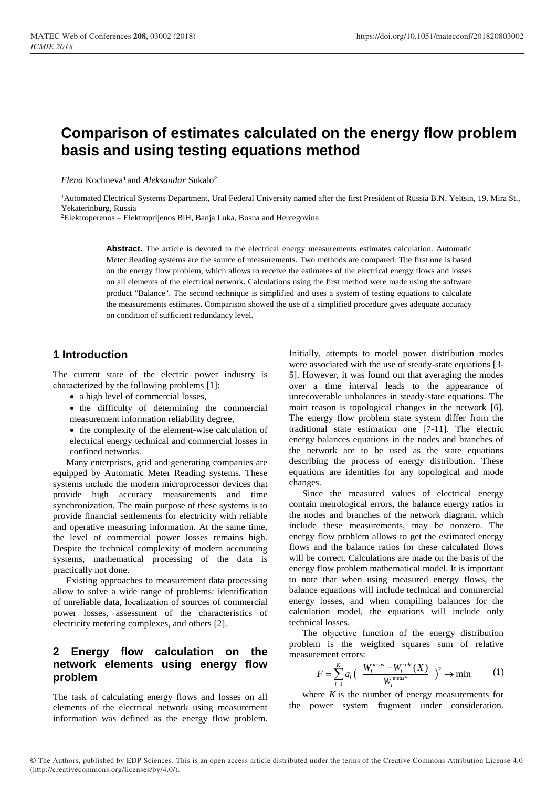# **Comparison of estimates calculated on the energy flow problem basis and using testing equations method**

*Elena* Kochneva<sup>1</sup> and *Aleksandar* Sukalo<sup>2</sup>

<sup>1</sup>Automated Electrical Systems Department, Ural Federal University named after the first President of Russia B.N. Yeltsin, 19, Mira St., Yekaterinburg, Russia

<sup>2</sup>Elektroperenos – Elektroprijenos BiH, Banja Luka, Bosna and Hercegovina

Abstract. The article is devoted to the electrical energy measurements estimates calculation. Automatic Meter Reading systems are the source of measurements. Two methods are compared. The first one is based on the energy flow problem, which allows to receive the estimates of the electrical energy flows and losses on all elements of the electrical network. Calculations using the first method were made using the software product "Balance". The second technique is simplified and uses a system of testing equations to calculate the measurements estimates. Comparison showed the use of a simplified procedure gives adequate accuracy on condition of sufficient redundancy level.

### **1 Introduction**

The current state of the electric power industry is characterized by the following problems [1]:

- a high level of commercial losses,
- the difficulty of determining the commercial measurement information reliability degree,

• the complexity of the element-wise calculation of electrical energy technical and commercial losses in confined networks.

Many enterprises, grid and generating companies are equipped by Automatic Meter Reading systems. These systems include the modern microprocessor devices that provide high accuracy measurements and time synchronization. The main purpose of these systems is to provide financial settlements for electricity with reliable and operative measuring information. At the same time, the level of commercial power losses remains high. Despite the technical complexity of modern accounting systems, mathematical processing of the data is practically not done.

Existing approaches to measurement data processing allow to solve a wide range of problems: identification of unreliable data, localization of sources of commercial power losses, assessment of the characteristics of electricity metering complexes, and others [2].

## **2 Energy flow calculation on the network elements using energy flow problem**

The task of calculating energy flows and losses on all elements of the electrical network using measurement information was defined as the energy flow problem.

Initially, attempts to model power distribution modes were associated with the use of steady-state equations [3- 5]. However, it was found out that averaging the modes over a time interval leads to the appearance of unrecoverable unbalances in steady-state equations. The main reason is topological changes in the network [6]. The energy flow problem state system differ from the traditional state estimation one [7-11]. The electric energy balances equations in the nodes and branches of the network are to be used as the state equations describing the process of energy distribution. These equations are identities for any topological and mode changes.

Since the measured values of electrical energy contain metrological errors, the balance energy ratios in the nodes and branches of the network diagram, which include these measurements, may be nonzero. The energy flow problem allows to get the estimated energy flows and the balance ratios for these calculated flows will be correct. Calculations are made on the basis of the energy flow problem mathematical model. It is important to note that when using measured energy flows, the balance equations will include technical and commercial energy losses, and when compiling balances for the calculation model, the equations will include only technical losses.

The objective function of the energy distribution problem is the weighted squares sum of relative measurement errors:

$$
F = \sum_{l=1}^{K} a_l \left( \frac{W_l^{meas} - W_l^{calc}(X)}{W_l^{meas^*}} \right)^2 \to \min \tag{1}
$$

where *<sup>K</sup>* is the number of energy measurements for the power system fragment under consideration.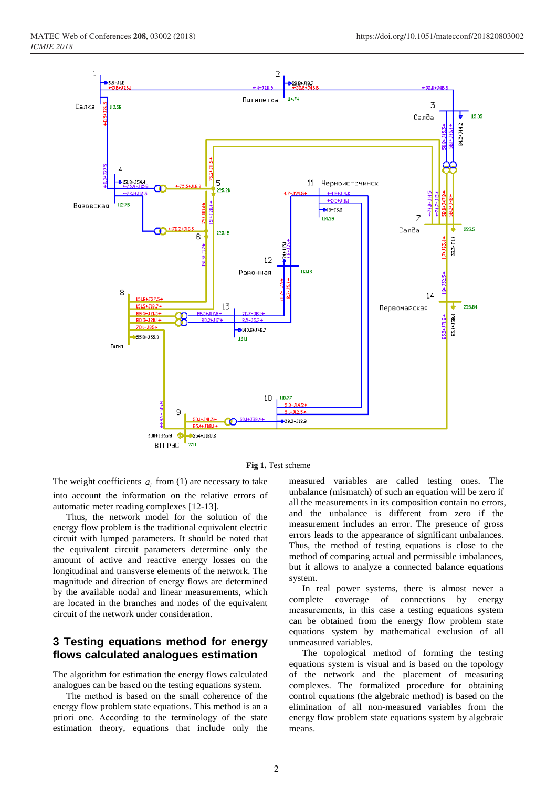

**Fig 1.** Test scheme

The weight coefficients  $a_i$  from (1) are necessary to take into account the information on the relative errors of automatic meter reading complexes [12-13].

Thus, the network model for the solution of the energy flow problem is the traditional equivalent electric circuit with lumped parameters. It should be noted that the equivalent circuit parameters determine only the amount of active and reactive energy losses on the longitudinal and transverse elements of the network. The magnitude and direction of energy flows are determined by the available nodal and linear measurements, which are located in the branches and nodes of the equivalent circuit of the network under consideration.

# **3 Testing equations method for energy flows calculated analogues estimation**

The algorithm for estimation the energy flows calculated analogues can be based on the testing equations system.

The method is based on the small coherence of the energy flow problem state equations. This method is an a priori one. According to the terminology of the state estimation theory, equations that include only the

measured variables are called testing ones. The unbalance (mismatch) of such an equation will be zero if all the measurements in its composition contain no errors, and the unbalance is different from zero if the measurement includes an error. The presence of gross errors leads to the appearance of significant unbalances. Thus, the method of testing equations is close to the method of comparing actual and permissible imbalances, but it allows to analyze a connected balance equations system.

In real power systems, there is almost never a complete coverage of connections by energy measurements, in this case a testing equations system can be obtained from the energy flow problem state equations system by mathematical exclusion of all unmeasured variables.

The topological method of forming the testing equations system is visual and is based on the topology of the network and the placement of measuring complexes. The formalized procedure for obtaining control equations (the algebraic method) is based on the elimination of all non-measured variables from the energy flow problem state equations system by algebraic means.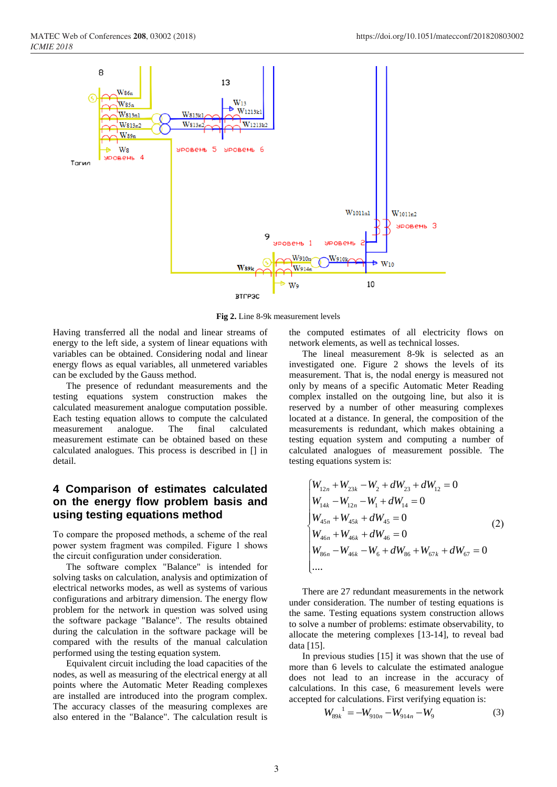

**Fig 2.** Line 8-9k measurement levels

Having transferred all the nodal and linear streams of energy to the left side, a system of linear equations with variables can be obtained. Considering nodal and linear energy flows as equal variables, all unmetered variables can be excluded by the Gauss method.

The presence of redundant measurements and the testing equations system construction makes the calculated measurement analogue computation possible. Each testing equation allows to compute the calculated measurement analogue. The final calculated measurement estimate can be obtained based on these calculated analogues. This process is described in [] in detail.

# **4 Comparison of estimates calculated on the energy flow problem basis and using testing equations method**

To compare the proposed methods, a scheme of the real power system fragment was compiled. Figure 1 shows the circuit configuration under consideration.

The software complex "Balance" is intended for solving tasks on calculation, analysis and optimization of electrical networks modes, as well as systems of various configurations and arbitrary dimension. The energy flow problem for the network in question was solved using the software package "Balance". The results obtained during the calculation in the software package will be compared with the results of the manual calculation performed using the testing equation system.

Equivalent circuit including the load capacities of the nodes, as well as measuring of the electrical energy at all points where the Automatic Meter Reading complexes are installed are introduced into the program complex. The accuracy classes of the measuring complexes are also entered in the "Balance". The calculation result is the computed estimates of all electricity flows on network elements, as well as technical losses.

The lineal measurement 8-9k is selected as an investigated one. Figure 2 shows the levels of its measurement. That is, the nodal energy is measured not only by means of a specific Automatic Meter Reading complex installed on the outgoing line, but also it is reserved by a number of other measuring complexes located at a distance. In general, the composition of the measurements is redundant, which makes obtaining a testing equation system and computing a number of calculated analogues of measurement possible. The testing equations system is:

$$
\begin{cases}\nW_{12n} + W_{23k} - W_2 + dW_{23} + dW_{12} = 0 \\
W_{14k} - W_{12n} - W_1 + dW_{14} = 0 \\
W_{45n} + W_{45k} + dW_{45} = 0\n\end{cases}
$$
\n
$$
\begin{cases}\nW_{46n} + W_{46k} + dW_{46} = 0 \\
W_{86n} - W_{46k} - W_6 + dW_{86} + W_{67k} + dW_{67} = 0 \\
\dots\n\end{cases}
$$
\n
$$
(2)
$$

There are 27 redundant measurements in the network under consideration. The number of testing equations is the same. Testing equations system construction allows to solve a number of problems: estimate observability, to allocate the metering complexes [13-14], to reveal bad data [15].

In previous studies [15] it was shown that the use of more than 6 levels to calculate the estimated analogue does not lead to an increase in the accuracy of calculations. In this case, 6 measurement levels were accepted for calculations. First verifying equation is:

$$
W_{89k}^{1} = -W_{910n} - W_{914n} - W_{9}
$$
 (3)